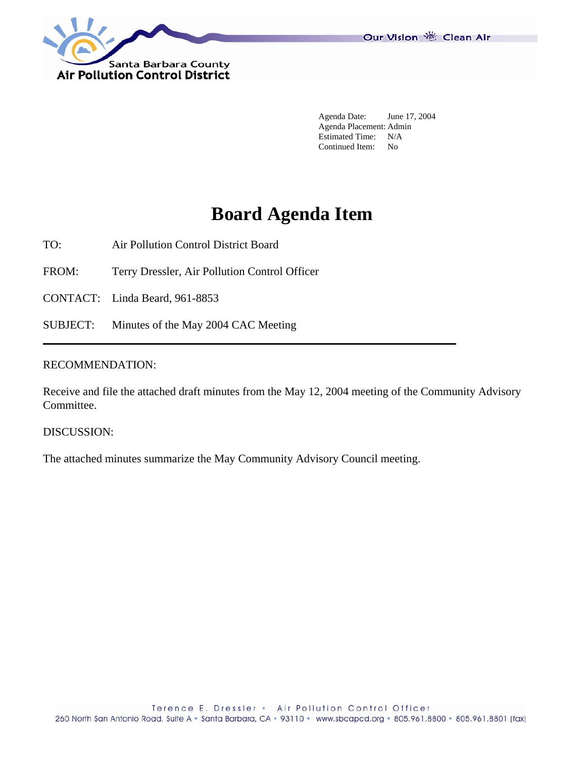

Our Vision 卷 Clean Air

 Agenda Date: June 17, 2004 Agenda Placement: Admin Estimated Time: N/A<br>Continued Item: No Continued Item:

# **Board Agenda Item**

TO: Air Pollution Control District Board

FROM: Terry Dressler, Air Pollution Control Officer

CONTACT: Linda Beard, 961-8853

SUBJECT: Minutes of the May 2004 CAC Meeting

## RECOMMENDATION:

Receive and file the attached draft minutes from the May 12, 2004 meeting of the Community Advisory Committee.

DISCUSSION:

The attached minutes summarize the May Community Advisory Council meeting.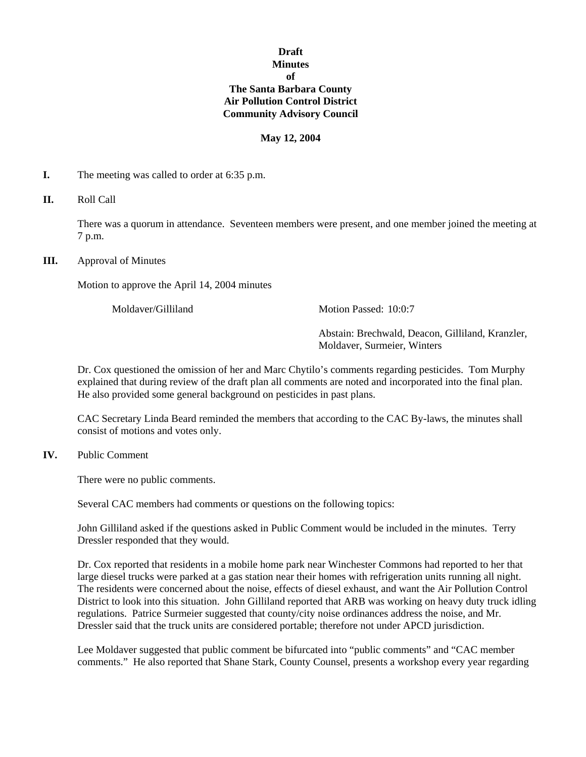## **Draft Minutes of The Santa Barbara County Air Pollution Control District Community Advisory Council**

#### **May 12, 2004**

- **I.** The meeting was called to order at 6:35 p.m.
- **II.** Roll Call

There was a quorum in attendance. Seventeen members were present, and one member joined the meeting at 7 p.m.

**III.** Approval of Minutes

Motion to approve the April 14, 2004 minutes

Moldaver/Gilliland Motion Passed: 10:0:7

Abstain: Brechwald, Deacon, Gilliland, Kranzler, Moldaver, Surmeier, Winters

Dr. Cox questioned the omission of her and Marc Chytilo's comments regarding pesticides. Tom Murphy explained that during review of the draft plan all comments are noted and incorporated into the final plan. He also provided some general background on pesticides in past plans.

CAC Secretary Linda Beard reminded the members that according to the CAC By-laws, the minutes shall consist of motions and votes only.

**IV.** Public Comment

There were no public comments.

Several CAC members had comments or questions on the following topics:

John Gilliland asked if the questions asked in Public Comment would be included in the minutes. Terry Dressler responded that they would.

Dr. Cox reported that residents in a mobile home park near Winchester Commons had reported to her that large diesel trucks were parked at a gas station near their homes with refrigeration units running all night. The residents were concerned about the noise, effects of diesel exhaust, and want the Air Pollution Control District to look into this situation. John Gilliland reported that ARB was working on heavy duty truck idling regulations. Patrice Surmeier suggested that county/city noise ordinances address the noise, and Mr. Dressler said that the truck units are considered portable; therefore not under APCD jurisdiction.

Lee Moldaver suggested that public comment be bifurcated into "public comments" and "CAC member comments." He also reported that Shane Stark, County Counsel, presents a workshop every year regarding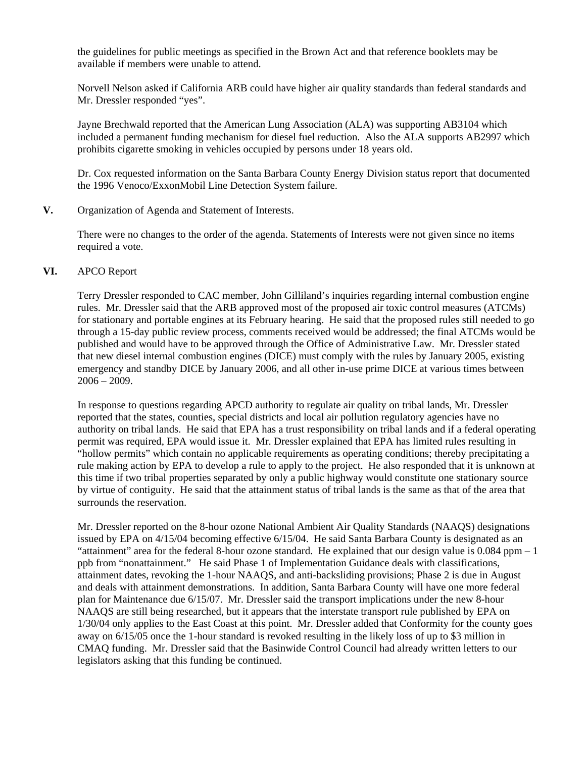the guidelines for public meetings as specified in the Brown Act and that reference booklets may be available if members were unable to attend.

Norvell Nelson asked if California ARB could have higher air quality standards than federal standards and Mr. Dressler responded "yes".

Jayne Brechwald reported that the American Lung Association (ALA) was supporting AB3104 which included a permanent funding mechanism for diesel fuel reduction. Also the ALA supports AB2997 which prohibits cigarette smoking in vehicles occupied by persons under 18 years old.

Dr. Cox requested information on the Santa Barbara County Energy Division status report that documented the 1996 Venoco/ExxonMobil Line Detection System failure.

**V.** Organization of Agenda and Statement of Interests.

 There were no changes to the order of the agenda. Statements of Interests were not given since no items required a vote.

## **VI.** APCO Report

 Terry Dressler responded to CAC member, John Gilliland's inquiries regarding internal combustion engine rules. Mr. Dressler said that the ARB approved most of the proposed air toxic control measures (ATCMs) for stationary and portable engines at its February hearing. He said that the proposed rules still needed to go through a 15-day public review process, comments received would be addressed; the final ATCMs would be published and would have to be approved through the Office of Administrative Law. Mr. Dressler stated that new diesel internal combustion engines (DICE) must comply with the rules by January 2005, existing emergency and standby DICE by January 2006, and all other in-use prime DICE at various times between 2006 – 2009.

 In response to questions regarding APCD authority to regulate air quality on tribal lands, Mr. Dressler reported that the states, counties, special districts and local air pollution regulatory agencies have no authority on tribal lands. He said that EPA has a trust responsibility on tribal lands and if a federal operating permit was required, EPA would issue it. Mr. Dressler explained that EPA has limited rules resulting in "hollow permits" which contain no applicable requirements as operating conditions; thereby precipitating a rule making action by EPA to develop a rule to apply to the project. He also responded that it is unknown at this time if two tribal properties separated by only a public highway would constitute one stationary source by virtue of contiguity. He said that the attainment status of tribal lands is the same as that of the area that surrounds the reservation.

Mr. Dressler reported on the 8-hour ozone National Ambient Air Quality Standards (NAAQS) designations issued by EPA on 4/15/04 becoming effective 6/15/04. He said Santa Barbara County is designated as an "attainment" area for the federal 8-hour ozone standard. He explained that our design value is 0.084 ppm – 1 ppb from "nonattainment." He said Phase 1 of Implementation Guidance deals with classifications, attainment dates, revoking the 1-hour NAAQS, and anti-backsliding provisions; Phase 2 is due in August and deals with attainment demonstrations. In addition, Santa Barbara County will have one more federal plan for Maintenance due 6/15/07. Mr. Dressler said the transport implications under the new 8-hour NAAQS are still being researched, but it appears that the interstate transport rule published by EPA on 1/30/04 only applies to the East Coast at this point. Mr. Dressler added that Conformity for the county goes away on 6/15/05 once the 1-hour standard is revoked resulting in the likely loss of up to \$3 million in CMAQ funding. Mr. Dressler said that the Basinwide Control Council had already written letters to our legislators asking that this funding be continued.